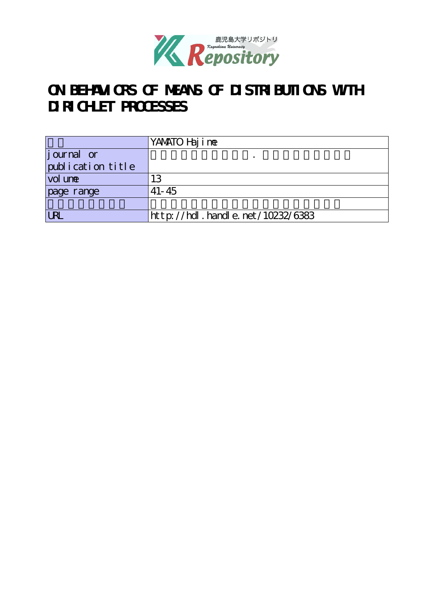

# **ON BEHAVIORS OF MEANS OF DISTRIBUTIONS WITH DIRICHLET PROCESSES**

|                   | YANATO Haj i ne                  |
|-------------------|----------------------------------|
| journal or        |                                  |
| publication title |                                  |
| vol une           | 13                               |
| page range        | $41 - 45$                        |
|                   |                                  |
| <b>LRI</b>        | http://hdl.handle.net/10232/6383 |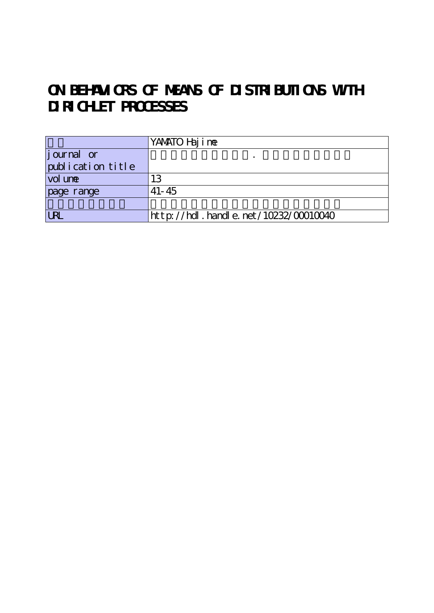# **ON BEHAVIORS OF MEANS OF DISTRIBUTIONS WITH DIRICHLET PROCESSES**

|                    | YANATO Haj i ne                      |
|--------------------|--------------------------------------|
| <i>j</i> ournal or |                                      |
| publication title  |                                      |
| vol une            | 13                                   |
| page range         | $41 - 45$                            |
|                    |                                      |
| <b>LRL</b>         | http://hdl.handle.net/10232/00010040 |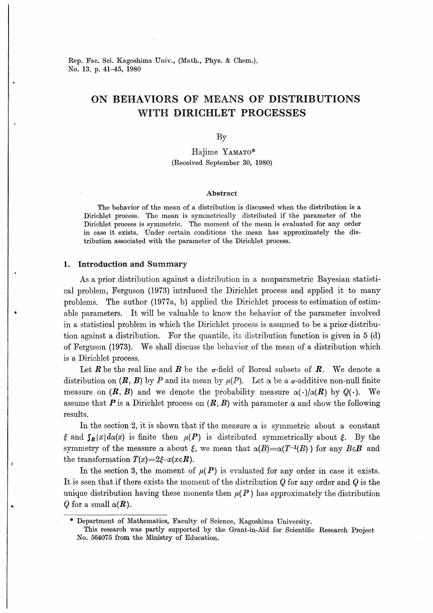Rep. Fac. Sci. Kagoshima Univ., (Math., Phys. & Chem.), No. 13, p. 41-45, 1980

# ON BEHAVIORS OF MEANS OF DISTRIBUTIONS WITH DIRICHLET PROCESSES

 $\rm\,By$ 

# Hajime YAMATO\* (Received September 30, 1980)

#### Abstract

The behavior of the mean of a distribution is discussed when the distribution is a Dirichlet process. The mean is symmetrically distributed if the parameter of the Dirichlet process is symmetric. The moment of the mean is evaluated for any order in case it exists. Under certain conditions the mean has approximately the distribution associated with the parameter of the Dirichlet process.

## 1. Introduction and Summary

As a prior distribution against a distribution in a nonparametric Bayesian statistical problem, Ferguson (1973) introduced the Dirichlet process and applied it to many problems. The author (1977a, b) applied the Dirichlet process to estimation of estimable parameters. It will be valuable to know the behavior of the parameter involved in a statistical problem in which the Dirichlet process is assumed to be a prior distribution against a distribution. For the quantile, its distribution function is given in 5 (d) of Ferguson (1973). We shall discuss the behavior of the mean of a distribution which is a Dirichlet process.

Let R be the real line and B be the  $\sigma$ -field of Boreal subsets of R. We denote a distribution on  $(R, B)$  by P and its mean by  $\mu(P)$ . Let  $\alpha$  be a  $\sigma$ -additive non-null finite measure on  $(R, B)$  and we denote the probability measure  $\alpha(\cdot) / \alpha(R)$  by  $Q(\cdot)$ .  $\rm\,We$ assume that P is a Dirichlet process on  $(R, B)$  with parameter  $\alpha$  and show the following results.

In the section 2, it is shown that if the measure  $\alpha$  is symmetric about a constant  $\xi$  and  $\int_{R} |x| d\alpha(x)$  is finite then  $\mu(P)$  is distributed symmetrically about  $\xi$ . By the symmetry of the measure  $\alpha$  about  $\xi$ , we mean that  $\alpha(B) = \alpha(T^{-1}(B))$  for any  $B \in \mathcal{B}$  and the transformation  $T(x)=2\xi-x(x\in\mathbf{R})$ .

In the section 3, the moment of  $\mu(P)$  is evaluated for any order in case it exists. It is seen that if there exists the moment of the distribution  $Q$  for any order and  $Q$  is the unique distribution having these monents then  $\mu(P)$  has approximately the distribution Q for a small  $\alpha(R)$ .

<sup>\*</sup> Department of Mathematics, Faculty of Science, Kagoshima University.

This research was partly supported by the Grant-in-Aid for Scientific Research Project No. 564075 from the Ministry of Education.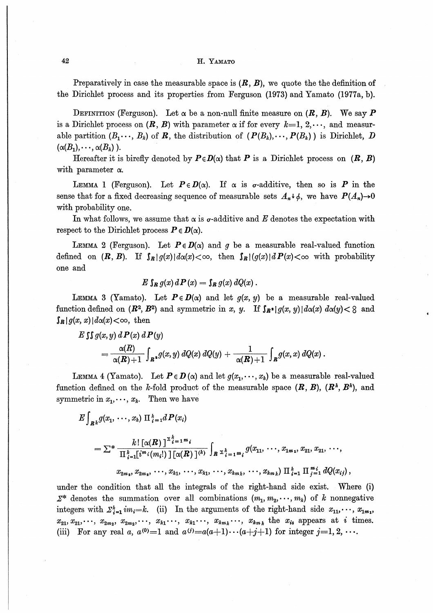# 42 **H. YAMATO**

Preparatively in case the measurable space is  $(R, B)$ , we quote the the definition of the Dirichlet process and its properties from Ferguson (1973) and Yamato (1977a, b).

DEFINITION (Ferguson). Let  $\alpha$  be a non-null finite measure on  $(R, B)$ . We say P is a Dirichlet process on  $(R, B)$  with parameter  $\alpha$  if for every  $k=1, 2, \dots$ , and measurable partition  $(B_1 \cdots, B_k)$  of R, the distribution of  $(P(B_k), \cdots, P(B_k))$  is Dirichlet, D  $(\alpha(B_1),\cdots,\alpha(B_k)).$ 

Hereafter it is birefly denoted by  $P \in D(\alpha)$  that P is a Dirichlet process on  $(R, B)$ with parameter  $\alpha$ .

LEMMA 1 (Ferguson). Let  $P \in D(\alpha)$ . If  $\alpha$  is  $\sigma$ -additive, then so is P in the sense that for a fixed decreasing sequence of measurable sets  $A_n \psi_{\phi}$ , we have  $P(A_n) \rightarrow 0$ with probability one.

In what follows, we assume that  $\alpha$  is  $\sigma$ -additive and E denotes the expectation with respect to the Dirichlet process  $P \in D(\alpha)$ .

LEMMA 2 (Ferguson). Let  $P \in D(\alpha)$  and g be a measurable real-valued function defined on  $(R, B)$ . If  $\int_R |g(x)| d\alpha(x) < \infty$ , then  $\int_R |g(x)| dP(x) < \infty$  with probability one and

$$
E \int_{\mathbf{R}} g(x) d\mathbf{P}(x) = \int_{\mathbf{R}} g(x) dQ(x).
$$

LEMMA 3 (Yamato). Let  $P \in D(\alpha)$  and let  $g(x, y)$  be a measurable real-valued function defined on  $(\mathbb{R}^2, \mathbb{B}^2)$  and symmetric in x, y. If  $\int_{\mathbb{R}^2} |g(x, y)| d\alpha(x) d\alpha(y) < 8$  and  $\int_R |g(x, x)| d\alpha(x) < \infty$ , then

$$
E \int \int g(x, y) dP(x) dP(y)
$$
  
=  $\frac{\alpha(R)}{\alpha(R)+1} \int_{R^2} g(x, y) dQ(x) dQ(y) + \frac{1}{\alpha(R)+1} \int_{R} g(x, x) dQ(x).$ 

LEMMA 4 (Yamato). Let  $P \in D(\alpha)$  and let  $g(x_1, \dots, x_k)$  be a measurable real-valued function defined on the k-fold product of the measurable space  $(R, B)$ ,  $(R^k, B^k)$ , and symmetric in  $x_1, \dots, x_k$ . Then we have

$$
E\int_{R^{\frac{1}{k}}} g(x_1, \ldots, x_k) \Pi_{i=1}^{\frac{k}{k}} dP(x_i)
$$
  
=  $\sum^* \frac{k! [\alpha(R)]^{\sum_{i=1}^k n_i} i}{\prod_{i=1}^k [i^{m_i}(m_i!) ] [\alpha(R)]^{(k)}} \int_{R^{\sum_{i=1}^k m_i}} g(x_1, \ldots, x_{1m_1}, x_{21}, x_{21}, \ldots, x_{2m_2}, x_{2m_3}, \ldots, x_{k1}, \ldots, x_{k1}, \ldots, x_{kn_k}, \ldots, x_{km_k}) \Pi_{i=1}^{\frac{k}{k}} \Pi_{j=1}^{m_i} dQ(x_{ij}),$ 

under the condition that all the integrals of the right-hand side exist. Where (i)  $\mathcal{Z}^*$  denotes the summation over all combinations  $(m_1, m_2, \dots, m_k)$  of k nonnegative integers with  $\sum_{i=1}^{k} im_i=k$ . (ii) In the arguments of the right-hand side  $x_{11}, \dots, x_{1m}$ ,  $x_{21}, x_{21}, \dots, x_{2m_2}, x_{2m_2}, \dots, x_{k1}, \dots, x_{k1}, \dots, x_{km_k} \dots, x_{km_k}$  the  $x_{is}$  appears at i times. (iii) For any real a,  $a^{(0)}=1$  and  $a^{(i)}=a(a+1)\cdots(a+j+1)$  for integer  $j=1, 2, \cdots$ .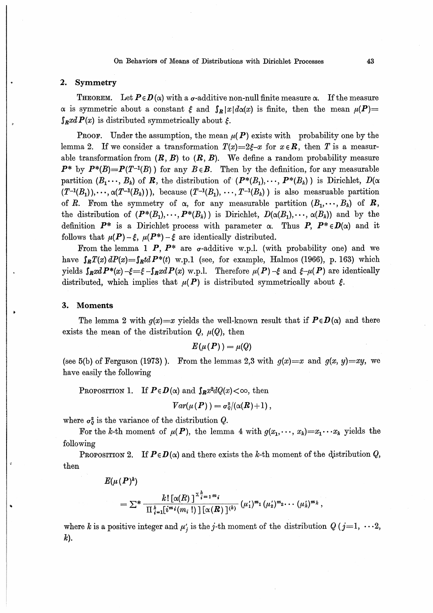### On Behaviors of Means of Distributions with Dirichlet Processes  $43$

# 2. Symmetry

**THEOREM.** Let  $P \in D(\alpha)$  with a  $\sigma$ -additive non-null finite measure  $\alpha$ . If the measure α is symmetric about a constant  $\xi$  and  $\int_R |x| d\alpha(x)$  is finite, then the mean  $\mu(P)$  $\int_R x dP(x)$  is distributed symmetrically about  $\xi$ .

**PROOF.** Under the assumption, the mean  $\mu(P)$  exists with probability one by the lemma 2. If we consider a transformation  $T(x)=2\xi-x$  for  $x\in\mathbb{R}$ , then T is a measurable transformation from  $(R, B)$  to  $(R, B)$ . We define a random probability measure  $P^*$  by  $P^*(B)=P(T^{-1}(B))$  for any  $B\in B$ . Then by the definition, for any measurable partition  $(B_1 \dots, B_k)$  of R, the distribution of  $(P^*(B_1), \dots, P^*(B_k) )$  is Dirichlet,  $D(\alpha)$  $(T^{-1}(B_1),\cdots, \alpha(T^{-1}(B_k)))$ , because  $(T^{-1}(B_1),\cdots, T^{-1}(B_k))$  is also measruable partition of R. From the symmetry of  $\alpha$ , for any measurable partition  $(B_1, \dots, B_k)$  of **R**, the distribution of  $(P^*(B_1),\dots, P^*(B_k))$  is Dirichlet,  $D(\alpha(B_1),\dots, \alpha(B_k))$  and by the definition  $P^*$  is a Dirichlet process with parameter  $\alpha$ . Thus  $P, P^* \in D(\alpha)$  and it follows that  $\mu(P) - \xi$ ,  $\mu(P^*) - \xi$  are identically distributed.

From the lemma 1 P,  $P^*$  are  $\sigma$ -additive w.p.l. (with probability one) and we have  $\int_R T(x) dP(x) = \int_R t dP^*(t)$  w.p.1 (see, for example, Halmos (1966), p. 163) which yields  $\int_R x dP^*(x) - \xi = \xi - \int_R x dP(x)$  w.p.l. Therefore  $\mu(P) - \xi$  and  $\xi - \mu(P)$  are identically distributed, which implies that  $\mu(P)$  is distributed symmetrically about  $\xi$ .

## 3. Moments

The lemma 2 with  $g(x)=x$  yields the well-known result that if  $P \in D(\alpha)$  and there exists the mean of the distribution  $Q, \mu(Q)$ , then

$$
E(\mu(P)) = \mu(Q)
$$

(see 5(b) of Ferguson (1973)). From the lemmas 2,3 with  $g(x)=x$  and  $g(x, y)=xy$ , we have easily the following

PROPOSITION 1. If  $P \in D(\alpha)$  and  $\int_R x^2 dQ(x) < \infty$ , then

$$
Var(\mu(P)) = \sigma_q^2/(\alpha(R) + 1),
$$

where  $\sigma_0^2$  is the variance of the distribution Q.

For the k-th moment of  $\mu(P)$ , the lemma 4 with  $g(x_1,\dots, x_k)=x_1\cdots x_k$  yields the following

PROPOSITION 2. If  $P \in D(\alpha)$  and there exists the k-th moment of the distribution Q, then

$$
E(\mu(P)^k)
$$

$$
= \sum^* \frac{k! \left[\alpha(R)\,\right]^{\sum_{i=1}^k m_i}}{\prod_{i=1}^k [i^{m_i}(m_i\,!)] \left[\alpha(R)\,\right]^{(k)}} (\mu'_1)^{m_1} (\mu'_2)^{m_2} \cdots (\mu'_k)^{m_k},
$$

where k is a positive integer and  $\mu'_{i}$  is the j-th moment of the distribution  $Q$  (j=1,  $\cdots$ 2,  $k$ ).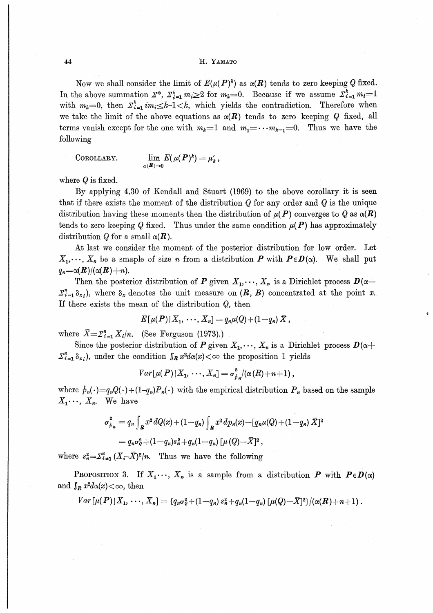### H. YAMATO

Now we shall consider the limit of  $E(\mu(P)^k)$  as  $\alpha(R)$  tends to zero keeping Q fixed. In the above summation  $\Sigma^*$ ,  $\Sigma_{i=1}^k m_i \geq 2$  for  $m_k=0$ . Because if we assume  $\Sigma_{i=1}^k m_i=1$ with  $m_k=0$ , then  $\sum_{i=1}^k i m_i \leq k-1 \leq k$ , which yields the contradiction. Therefore when we take the limit of the above equations as  $\alpha(R)$  tends to zero keeping Q fixed, all terms vanish except for the one with  $m_k=1$  and  $m_1=\cdots m_{k-1}=0$ . Thus we have the following

COROLLARY. 
$$
\lim_{\alpha(R)\to 0} E(\mu(P)^k) = \mu'_k,
$$

where  $Q$  is fixed.

By applying 4.30 of Kendall and Stuart (1969) to the above corollary it is seen that if there exists the moment of the distribution  $Q$  for any order and  $Q$  is the unique distribution having these moments then the distribution of  $\mu(P)$  converges to Q as  $\alpha(R)$ tends to zero keeping Q fixed. Thus under the same condition  $\mu(P)$  has approximately distribution Q for a small  $\alpha(R)$ .

At last we consider the moment of the posterior distribution for low order. Let  $X_1, \dots, X_n$  be a smaple of size *n* from a distribution **P** with  $P \in D(\alpha)$ . We shall put  $q_n = \alpha(R)/(\alpha(R)+n).$ 

Then the posterior distribution of P given  $X_1, \dots, X_n$  is a Dirichlet process  $D(\alpha +$  $\sum_{i=1}^n \delta_{x_i}$ , where  $\delta_x$  denotes the unit measure on  $(R, B)$  concentrated at the point x. If there exists the mean of the distribution  $Q$ , then

$$
E[\mu(P)|X_1,\,\cdots,X_n] = q_n\mu(Q) + (1-q_n)\,\bar{X}\,,
$$

where  $\bar{X} = \sum_{i=1}^{n} X_i/n$ . (See Ferguson (1973).)

Since the posterior distribution of P given  $X_1, \dots, X_n$  is a Dirichlet process  $D(\alpha +$  $\sum_{i=1}^n \delta_{x_i}$ , under the condition  $\int_R x^2 d\alpha(x) < \infty$  the proposition 1 yields

$$
Var[\mu(P)|X_1,\cdots,X_n]=\sigma_{\hat{p}_n}^2/(\alpha(R)+n+1),
$$

where  $\hat{p}_n(\cdot) = q_n Q(\cdot) + (1-q_n) P_n(\cdot)$  with the empirical distribution  $P_n$  based on the sample  $X_1 \cdots, X_n$ . We have

$$
\sigma_{\hat{p}_n}^2 = q_n \int_{\mathbb{R}} x^2 dQ(x) + (1 - q_n) \int_{\mathbb{R}} x^2 dp_n(x) - [q_n \mu(Q) + (1 - q_n) \bar{X}]^2
$$
  
=  $q_n \sigma_0^2 + (1 - q_n) s_n^2 + q_n (1 - q_n) [\mu(Q) - \bar{X}]^2$ ,

where  $s_n^2 = \sum_{i=1}^n (X_i - \overline{X})^2/n$ . Thus we have the following

**PROPOSITION 3.** If  $X_1 \cdots$ ,  $X_n$  is a sample from a distribution **P** with  $P \in D(\alpha)$ and  $\int_{R} x^2 d\alpha(x) < \infty$ , then

$$
Var\left[\mu(P)\,|\,X_1,\,\cdots,\,X_n\right]=\{q_n\sigma^2_{\theta}+(1-q_n)\,s_n^2+q_n(1-q_n)\left[\mu(Q)-\bar{X}\right]^2\}/(\alpha(R)+n+1)\,.
$$